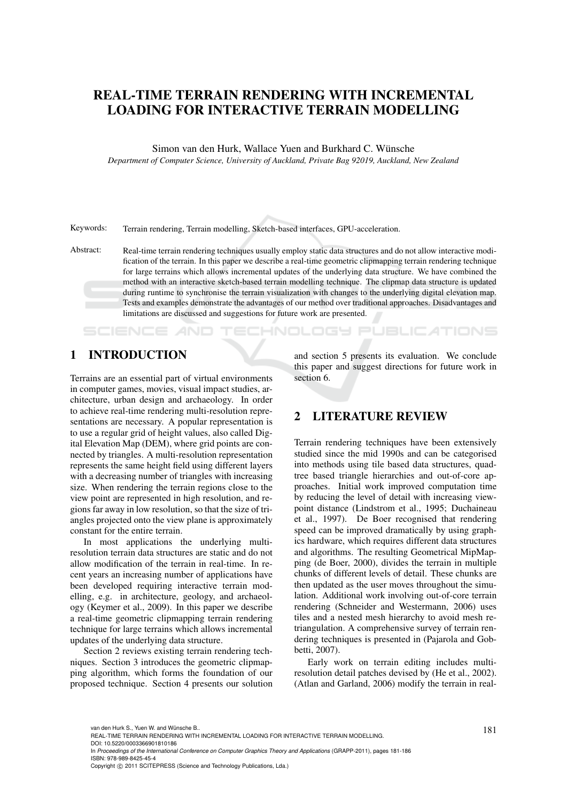# REAL-TIME TERRAIN RENDERING WITH INCREMENTAL LOADING FOR INTERACTIVE TERRAIN MODELLING

Simon van den Hurk, Wallace Yuen and Burkhard C. Wünsche *Department of Computer Science, University of Auckland, Private Bag 92019, Auckland, New Zealand*

Keywords: Terrain rendering, Terrain modelling, Sketch-based interfaces, GPU-acceleration.

Abstract: Real-time terrain rendering techniques usually employ static data structures and do not allow interactive modification of the terrain. In this paper we describe a real-time geometric clipmapping terrain rendering technique for large terrains which allows incremental updates of the underlying data structure. We have combined the method with an interactive sketch-based terrain modelling technique. The clipmap data structure is updated during runtime to synchronise the terrain visualization with changes to the underlying digital elevation map. Tests and examples demonstrate the advantages of our method over traditional approaches. Disadvantages and limitations are discussed and suggestions for future work are presented.

#### 1 INTRODUCTION

**SCIENCE AND** 

Terrains are an essential part of virtual environments in computer games, movies, visual impact studies, architecture, urban design and archaeology. In order to achieve real-time rendering multi-resolution representations are necessary. A popular representation is to use a regular grid of height values, also called Digital Elevation Map (DEM), where grid points are connected by triangles. A multi-resolution representation represents the same height field using different layers with a decreasing number of triangles with increasing size. When rendering the terrain regions close to the view point are represented in high resolution, and regions far away in low resolution, so that the size of triangles projected onto the view plane is approximately constant for the entire terrain.

In most applications the underlying multiresolution terrain data structures are static and do not allow modification of the terrain in real-time. In recent years an increasing number of applications have been developed requiring interactive terrain modelling, e.g. in architecture, geology, and archaeology (Keymer et al., 2009). In this paper we describe a real-time geometric clipmapping terrain rendering technique for large terrains which allows incremental updates of the underlying data structure.

Section 2 reviews existing terrain rendering techniques. Section 3 introduces the geometric clipmapping algorithm, which forms the foundation of our proposed technique. Section 4 presents our solution

and section 5 presents its evaluation. We conclude this paper and suggest directions for future work in section 6.

### 2 LITERATURE REVIEW

**ECHNOLOGY PUBLICATIONS** 

Terrain rendering techniques have been extensively studied since the mid 1990s and can be categorised into methods using tile based data structures, quadtree based triangle hierarchies and out-of-core approaches. Initial work improved computation time by reducing the level of detail with increasing viewpoint distance (Lindstrom et al., 1995; Duchaineau et al., 1997). De Boer recognised that rendering speed can be improved dramatically by using graphics hardware, which requires different data structures and algorithms. The resulting Geometrical MipMapping (de Boer, 2000), divides the terrain in multiple chunks of different levels of detail. These chunks are then updated as the user moves throughout the simulation. Additional work involving out-of-core terrain rendering (Schneider and Westermann, 2006) uses tiles and a nested mesh hierarchy to avoid mesh retriangulation. A comprehensive survey of terrain rendering techniques is presented in (Pajarola and Gobbetti, 2007).

Early work on terrain editing includes multiresolution detail patches devised by (He et al., 2002). (Atlan and Garland, 2006) modify the terrain in real-

van den Hurk S., Yuen W. and Wünsche B..<br>REAL-TIME TERRAIN RENDERING WITH INCREMENTAL LOADING FOR INTERACTIVE TERRAIN MODELLING. DOI: 10.5220/0003366901810186

In *Proceedings of the International Conference on Computer Graphics Theory and Applications* (GRAPP-2011), pages 181-186 ISBN: 978-989-8425-45-4

Copyright © 2011 SCITEPRESS (Science and Technology Publications, Lda.)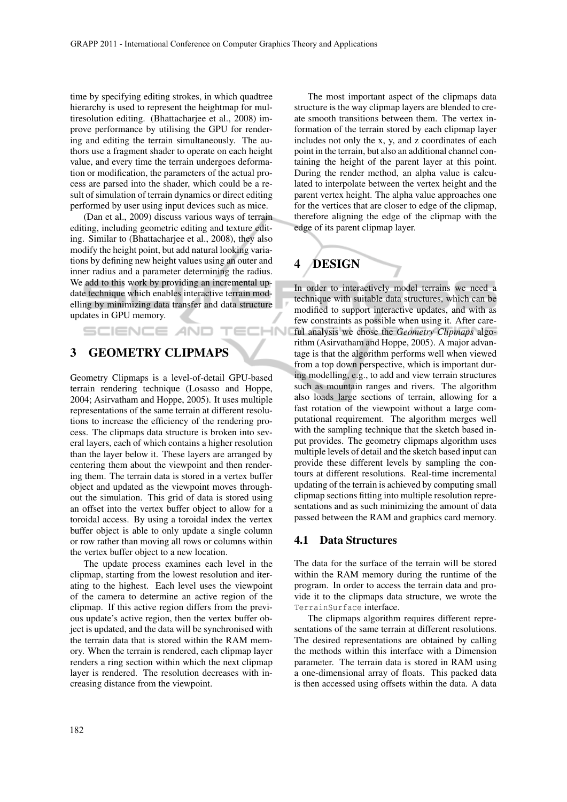TECHN

time by specifying editing strokes, in which quadtree hierarchy is used to represent the heightmap for multiresolution editing. (Bhattacharjee et al., 2008) improve performance by utilising the GPU for rendering and editing the terrain simultaneously. The authors use a fragment shader to operate on each height value, and every time the terrain undergoes deformation or modification, the parameters of the actual process are parsed into the shader, which could be a result of simulation of terrain dynamics or direct editing performed by user using input devices such as mice.

(Dan et al., 2009) discuss various ways of terrain editing, including geometric editing and texture editing. Similar to (Bhattacharjee et al., 2008), they also modify the height point, but add natural looking variations by defining new height values using an outer and inner radius and a parameter determining the radius. We add to this work by providing an incremental update technique which enables interactive terrain modelling by minimizing data transfer and data structure updates in GPU memory.

### **SCIENCE AND**

### 3 GEOMETRY CLIPMAPS

Geometry Clipmaps is a level-of-detail GPU-based terrain rendering technique (Losasso and Hoppe, 2004; Asirvatham and Hoppe, 2005). It uses multiple representations of the same terrain at different resolutions to increase the efficiency of the rendering process. The clipmaps data structure is broken into several layers, each of which contains a higher resolution than the layer below it. These layers are arranged by centering them about the viewpoint and then rendering them. The terrain data is stored in a vertex buffer object and updated as the viewpoint moves throughout the simulation. This grid of data is stored using an offset into the vertex buffer object to allow for a toroidal access. By using a toroidal index the vertex buffer object is able to only update a single column or row rather than moving all rows or columns within the vertex buffer object to a new location.

The update process examines each level in the clipmap, starting from the lowest resolution and iterating to the highest. Each level uses the viewpoint of the camera to determine an active region of the clipmap. If this active region differs from the previous update's active region, then the vertex buffer object is updated, and the data will be synchronised with the terrain data that is stored within the RAM memory. When the terrain is rendered, each clipmap layer renders a ring section within which the next clipmap layer is rendered. The resolution decreases with increasing distance from the viewpoint.

The most important aspect of the clipmaps data structure is the way clipmap layers are blended to create smooth transitions between them. The vertex information of the terrain stored by each clipmap layer includes not only the x, y, and z coordinates of each point in the terrain, but also an additional channel containing the height of the parent layer at this point. During the render method, an alpha value is calculated to interpolate between the vertex height and the parent vertex height. The alpha value approaches one for the vertices that are closer to edge of the clipmap, therefore aligning the edge of the clipmap with the edge of its parent clipmap layer.

# 4 DESIGN

In order to interactively model terrains we need a technique with suitable data structures, which can be modified to support interactive updates, and with as few constraints as possible when using it. After careful analysis we chose the *Geometry Clipmaps* algorithm (Asirvatham and Hoppe, 2005). A major advantage is that the algorithm performs well when viewed from a top down perspective, which is important during modelling, e.g., to add and view terrain structures such as mountain ranges and rivers. The algorithm also loads large sections of terrain, allowing for a fast rotation of the viewpoint without a large computational requirement. The algorithm merges well with the sampling technique that the sketch based input provides. The geometry clipmaps algorithm uses multiple levels of detail and the sketch based input can provide these different levels by sampling the contours at different resolutions. Real-time incremental updating of the terrain is achieved by computing small clipmap sections fitting into multiple resolution representations and as such minimizing the amount of data passed between the RAM and graphics card memory.

#### 4.1 Data Structures

The data for the surface of the terrain will be stored within the RAM memory during the runtime of the program. In order to access the terrain data and provide it to the clipmaps data structure, we wrote the TerrainSurface interface.

The clipmaps algorithm requires different representations of the same terrain at different resolutions. The desired representations are obtained by calling the methods within this interface with a Dimension parameter. The terrain data is stored in RAM using a one-dimensional array of floats. This packed data is then accessed using offsets within the data. A data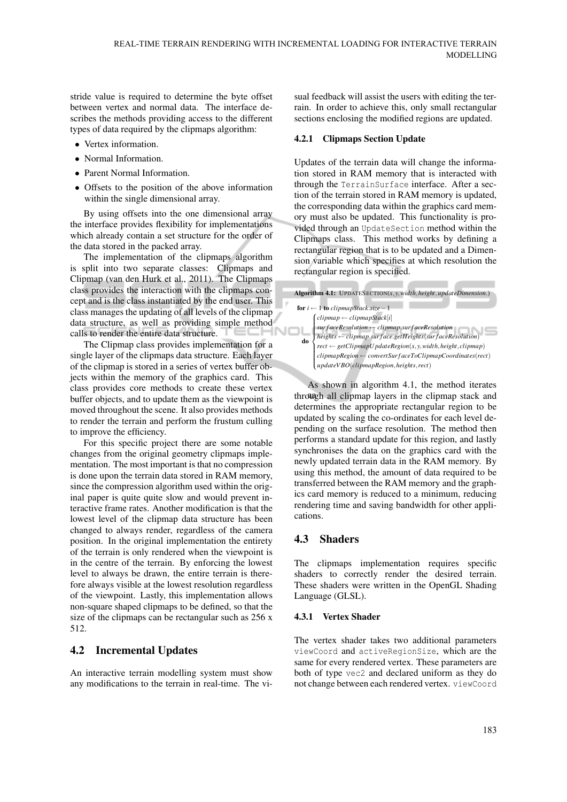stride value is required to determine the byte offset between vertex and normal data. The interface describes the methods providing access to the different types of data required by the clipmaps algorithm:

- Vertex information.
- Normal Information.
- Parent Normal Information.
- Offsets to the position of the above information within the single dimensional array.

By using offsets into the one dimensional array the interface provides flexibility for implementations which already contain a set structure for the order of the data stored in the packed array.

The implementation of the clipmaps algorithm is split into two separate classes: Clipmaps and Clipmap (van den Hurk et al., 2011). The Clipmaps class provides the interaction with the clipmaps concept and is the class instantiated by the end user. This class manages the updating of all levels of the clipmap data structure, as well as providing simple method calls to render the entire data structure.  $\Box$ 

The Clipmap class provides implementation for a single layer of the clipmaps data structure. Each layer of the clipmap is stored in a series of vertex buffer objects within the memory of the graphics card. This class provides core methods to create these vertex buffer objects, and to update them as the viewpoint is moved throughout the scene. It also provides methods to render the terrain and perform the frustum culling to improve the efficiency.

For this specific project there are some notable changes from the original geometry clipmaps implementation. The most important is that no compression is done upon the terrain data stored in RAM memory, since the compression algorithm used within the original paper is quite quite slow and would prevent interactive frame rates. Another modification is that the lowest level of the clipmap data structure has been changed to always render, regardless of the camera position. In the original implementation the entirety of the terrain is only rendered when the viewpoint is in the centre of the terrain. By enforcing the lowest level to always be drawn, the entire terrain is therefore always visible at the lowest resolution regardless of the viewpoint. Lastly, this implementation allows non-square shaped clipmaps to be defined, so that the size of the clipmaps can be rectangular such as 256 x 512.

### 4.2 Incremental Updates

An interactive terrain modelling system must show any modifications to the terrain in real-time. The visual feedback will assist the users with editing the terrain. In order to achieve this, only small rectangular sections enclosing the modified regions are updated.

#### 4.2.1 Clipmaps Section Update

Updates of the terrain data will change the information stored in RAM memory that is interacted with through the TerrainSurface interface. After a section of the terrain stored in RAM memory is updated, the corresponding data within the graphics card memory must also be updated. This functionality is provided through an UpdateSection method within the Clipmaps class. This method works by defining a rectangular region that is to be updated and a Dimension variable which specifies at which resolution the rectangular region is specified.

| Algorithm 4.1: UPDATESECTION $(x, y, width, height, updateDimension.)$ |                                                                                                                                                                                                                                                                                                                                                                        |
|------------------------------------------------------------------------|------------------------------------------------------------------------------------------------------------------------------------------------------------------------------------------------------------------------------------------------------------------------------------------------------------------------------------------------------------------------|
| for $i \leftarrow 1$ to clipmapStack.size - 1                          |                                                                                                                                                                                                                                                                                                                                                                        |
| do -                                                                   |                                                                                                                                                                                                                                                                                                                                                                        |
|                                                                        |                                                                                                                                                                                                                                                                                                                                                                        |
|                                                                        |                                                                                                                                                                                                                                                                                                                                                                        |
|                                                                        |                                                                                                                                                                                                                                                                                                                                                                        |
|                                                                        |                                                                                                                                                                                                                                                                                                                                                                        |
|                                                                        | $[clipmap \leftarrow clipmapStack[i] \\ surfaceResolution \leftarrow clipmap-surfacesolution \\ heights \leftarrow clipmap-surfacesHeights (surfacesolution) \\ rect \leftarrow gelClipmapU pdateRegion(x, y, width, height, clipmap) \\ clipmapRegion \leftarrow convertSurfaceToClipmapCoordinate(s (rect) \\ updateVBO(clipmapRegion, height, rect) \\ \end{array}$ |
|                                                                        |                                                                                                                                                                                                                                                                                                                                                                        |

through all clipmap layers in the clipmap stack and As shown in algorithm 4.1, the method iterates determines the appropriate rectangular region to be updated by scaling the co-ordinates for each level depending on the surface resolution. The method then performs a standard update for this region, and lastly synchronises the data on the graphics card with the newly updated terrain data in the RAM memory. By using this method, the amount of data required to be transferred between the RAM memory and the graphics card memory is reduced to a minimum, reducing rendering time and saving bandwidth for other applications.

### 4.3 Shaders

The clipmaps implementation requires specific shaders to correctly render the desired terrain. These shaders were written in the OpenGL Shading Language (GLSL).

#### 4.3.1 Vertex Shader

The vertex shader takes two additional parameters viewCoord and activeRegionSize, which are the same for every rendered vertex. These parameters are both of type vec2 and declared uniform as they do not change between each rendered vertex. viewCoord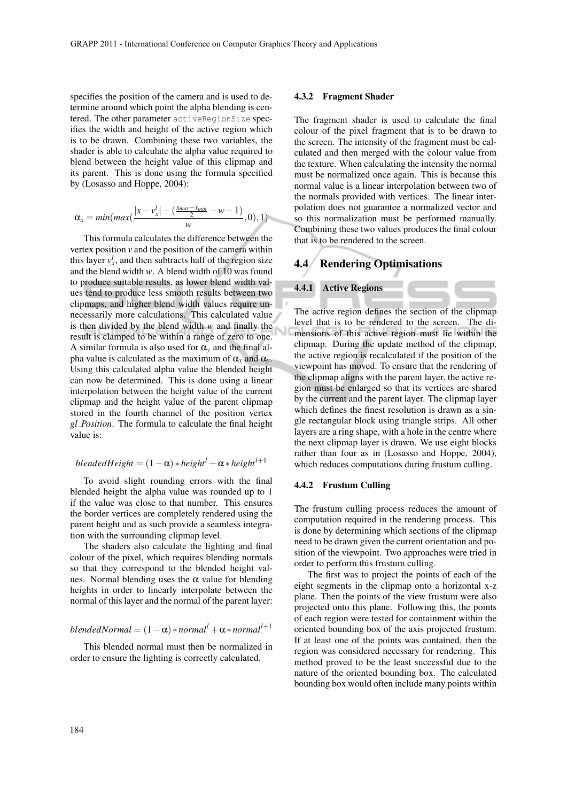specifies the position of the camera and is used to determine around which point the alpha blending is centered. The other parameter activeRegionSize specifies the width and height of the active region which is to be drawn. Combining these two variables, the shader is able to calculate the alpha value required to blend between the height value of this clipmap and its parent. This is done using the formula specified by (Losasso and Hoppe, 2004):

$$
\alpha_x = min(max(\frac{|x-v_x^l|-(\frac{x_{max}-x_{min}}{2}-w-1)}{w},0),1)
$$

This formula calculates the difference between the vertex position *v* and the position of the camera within this layer  $v_x^l$ , and then subtracts half of the region size and the blend width *w*. A blend width of 10 was found to produce suitable results, as lower blend width values tend to produce less smooth results between two clipmaps, and higher blend width values require unnecessarily more calculations. This calculated value is then divided by the blend width *w* and finally the result is clamped to be within a range of zero to one. A similar formula is also used for  $\alpha$ <sub>*y*</sub> and the final alpha value is calculated as the maximum of  $\alpha_x$  and  $\alpha_y$ . Using this calculated alpha value the blended height can now be determined. This is done using a linear interpolation between the height value of the current clipmap and the height value of the parent clipmap stored in the fourth channel of the position vertex *gl Position*. The formula to calculate the final height value is:

*blendedHeight* = 
$$
(1 - \alpha) * height^{l} + \alpha * height^{l+1}
$$

To avoid slight rounding errors with the final blended height the alpha value was rounded up to 1 if the value was close to that number. This ensures the border vertices are completely rendered using the parent height and as such provide a seamless integration with the surrounding clipmap level.

The shaders also calculate the lighting and final colour of the pixel, which requires blending normals so that they correspond to the blended height values. Normal blending uses the  $\alpha$  value for blending heights in order to linearly interpolate between the normal of this layer and the normal of the parent layer:

*blendedNormal* =  $(1 - \alpha) * normal<sup>l</sup> + \alpha * normal<sup>l+1</sup>$ 

This blended normal must then be normalized in order to ensure the lighting is correctly calculated.

#### 4.3.2 Fragment Shader

The fragment shader is used to calculate the final colour of the pixel fragment that is to be drawn to the screen. The intensity of the fragment must be calculated and then merged with the colour value from the texture. When calculating the intensity the normal must be normalized once again. This is because this normal value is a linear interpolation between two of the normals provided with vertices. The linear interpolation does not guarantee a normalized vector and so this normalization must be performed manually. Combining these two values produces the final colour that is to be rendered to the screen.

## 4.4 Rendering Optimisations



The active region defines the section of the clipmap level that is to be rendered to the screen. The dimensions of this active region must lie within the clipmap. During the update method of the clipmap, the active region is recalculated if the position of the viewpoint has moved. To ensure that the rendering of the clipmap aligns with the parent layer, the active region must be enlarged so that its vertices are shared by the current and the parent layer. The clipmap layer which defines the finest resolution is drawn as a single rectangular block using triangle strips. All other layers are a ring shape, with a hole in the centre where the next clipmap layer is drawn. We use eight blocks rather than four as in (Losasso and Hoppe, 2004), which reduces computations during frustum culling.

#### 4.4.2 Frustum Culling

The frustum culling process reduces the amount of computation required in the rendering process. This is done by determining which sections of the clipmap need to be drawn given the current orientation and position of the viewpoint. Two approaches were tried in order to perform this frustum culling.

The first was to project the points of each of the eight segments in the clipmap onto a horizontal x-z plane. Then the points of the view frustum were also projected onto this plane. Following this, the points of each region were tested for containment within the oriented bounding box of the axis projected frustum. If at least one of the points was contained, then the region was considered necessary for rendering. This method proved to be the least successful due to the nature of the oriented bounding box. The calculated bounding box would often include many points within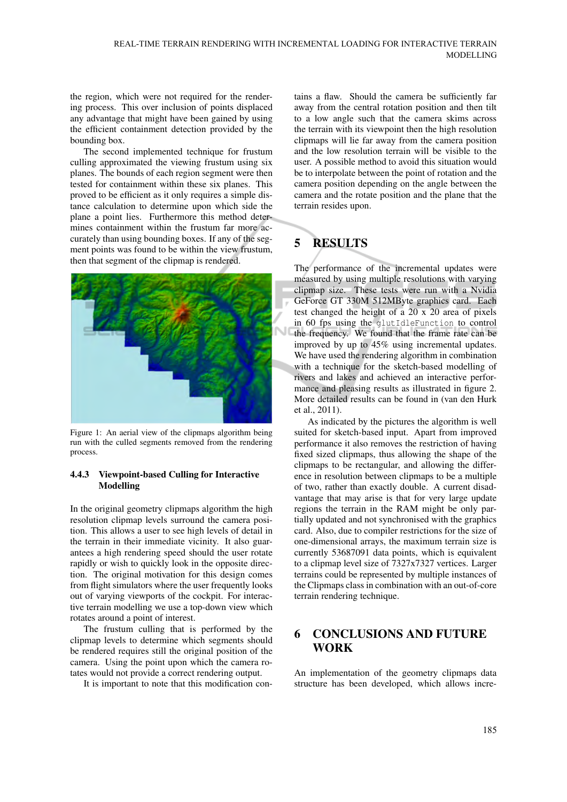the region, which were not required for the rendering process. This over inclusion of points displaced any advantage that might have been gained by using the efficient containment detection provided by the bounding box.

The second implemented technique for frustum culling approximated the viewing frustum using six planes. The bounds of each region segment were then tested for containment within these six planes. This proved to be efficient as it only requires a simple distance calculation to determine upon which side the plane a point lies. Furthermore this method determines containment within the frustum far more accurately than using bounding boxes. If any of the segment points was found to be within the view frustum, then that segment of the clipmap is rendered.



Figure 1: An aerial view of the clipmaps algorithm being run with the culled segments removed from the rendering process.

#### 4.4.3 Viewpoint-based Culling for Interactive Modelling

In the original geometry clipmaps algorithm the high resolution clipmap levels surround the camera position. This allows a user to see high levels of detail in the terrain in their immediate vicinity. It also guarantees a high rendering speed should the user rotate rapidly or wish to quickly look in the opposite direction. The original motivation for this design comes from flight simulators where the user frequently looks out of varying viewports of the cockpit. For interactive terrain modelling we use a top-down view which rotates around a point of interest.

The frustum culling that is performed by the clipmap levels to determine which segments should be rendered requires still the original position of the camera. Using the point upon which the camera rotates would not provide a correct rendering output.

It is important to note that this modification con-

tains a flaw. Should the camera be sufficiently far away from the central rotation position and then tilt to a low angle such that the camera skims across the terrain with its viewpoint then the high resolution clipmaps will lie far away from the camera position and the low resolution terrain will be visible to the user. A possible method to avoid this situation would be to interpolate between the point of rotation and the camera position depending on the angle between the camera and the rotate position and the plane that the terrain resides upon.

# 5 RESULTS

The performance of the incremental updates were measured by using multiple resolutions with varying clipmap size. These tests were run with a Nvidia GeForce GT 330M 512MByte graphics card. Each test changed the height of a 20 x 20 area of pixels in 60 fps using the glutIdleFunction to control the frequency. We found that the frame rate can be improved by up to 45% using incremental updates. We have used the rendering algorithm in combination with a technique for the sketch-based modelling of rivers and lakes and achieved an interactive performance and pleasing results as illustrated in figure 2. More detailed results can be found in (van den Hurk et al., 2011).

As indicated by the pictures the algorithm is well suited for sketch-based input. Apart from improved performance it also removes the restriction of having fixed sized clipmaps, thus allowing the shape of the clipmaps to be rectangular, and allowing the difference in resolution between clipmaps to be a multiple of two, rather than exactly double. A current disadvantage that may arise is that for very large update regions the terrain in the RAM might be only partially updated and not synchronised with the graphics card. Also, due to compiler restrictions for the size of one-dimensional arrays, the maximum terrain size is currently 53687091 data points, which is equivalent to a clipmap level size of 7327x7327 vertices. Larger terrains could be represented by multiple instances of the Clipmaps class in combination with an out-of-core terrain rendering technique.

### 6 CONCLUSIONS AND FUTURE **WORK**

An implementation of the geometry clipmaps data structure has been developed, which allows incre-